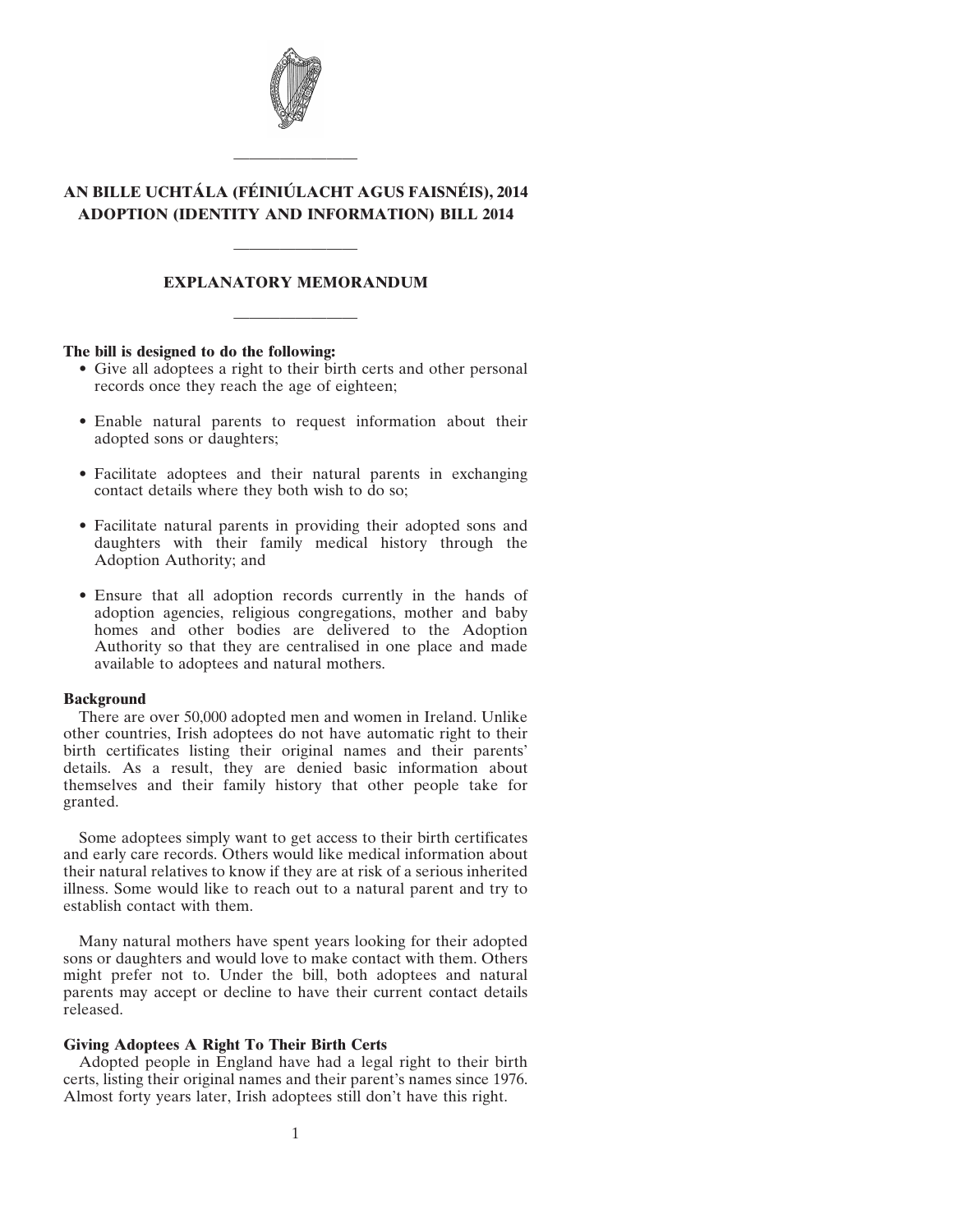

# **AN BILLE UCHTÁLA (FÉINIÚLACHT AGUS FAISNÉIS), 2014 ADOPTION (IDENTITY AND INFORMATION) BILL 2014**

————————

# **EXPLANATORY MEMORANDUM**

————————

————————

#### **The bill is designed to do the following:**

- Give all adoptees a right to their birth certs and other personal records once they reach the age of eighteen;
- Enable natural parents to request information about their adopted sons or daughters;
- Facilitate adoptees and their natural parents in exchanging contact details where they both wish to do so;
- Facilitate natural parents in providing their adopted sons and daughters with their family medical history through the Adoption Authority; and
- Ensure that all adoption records currently in the hands of adoption agencies, religious congregations, mother and baby homes and other bodies are delivered to the Adoption Authority so that they are centralised in one place and made available to adoptees and natural mothers.

#### **Background**

There are over 50,000 adopted men and women in Ireland. Unlike other countries, Irish adoptees do not have automatic right to their birth certificates listing their original names and their parents' details. As a result, they are denied basic information about themselves and their family history that other people take for granted.

Some adoptees simply want to get access to their birth certificates and early care records. Others would like medical information about their natural relatives to know if they are at risk of a serious inherited illness. Some would like to reach out to a natural parent and try to establish contact with them.

Many natural mothers have spent years looking for their adopted sons or daughters and would love to make contact with them. Others might prefer not to. Under the bill, both adoptees and natural parents may accept or decline to have their current contact details released.

# **Giving Adoptees A Right To Their Birth Certs**

Adopted people in England have had a legal right to their birth certs, listing their original names and their parent's names since 1976. Almost forty years later, Irish adoptees still don't have this right.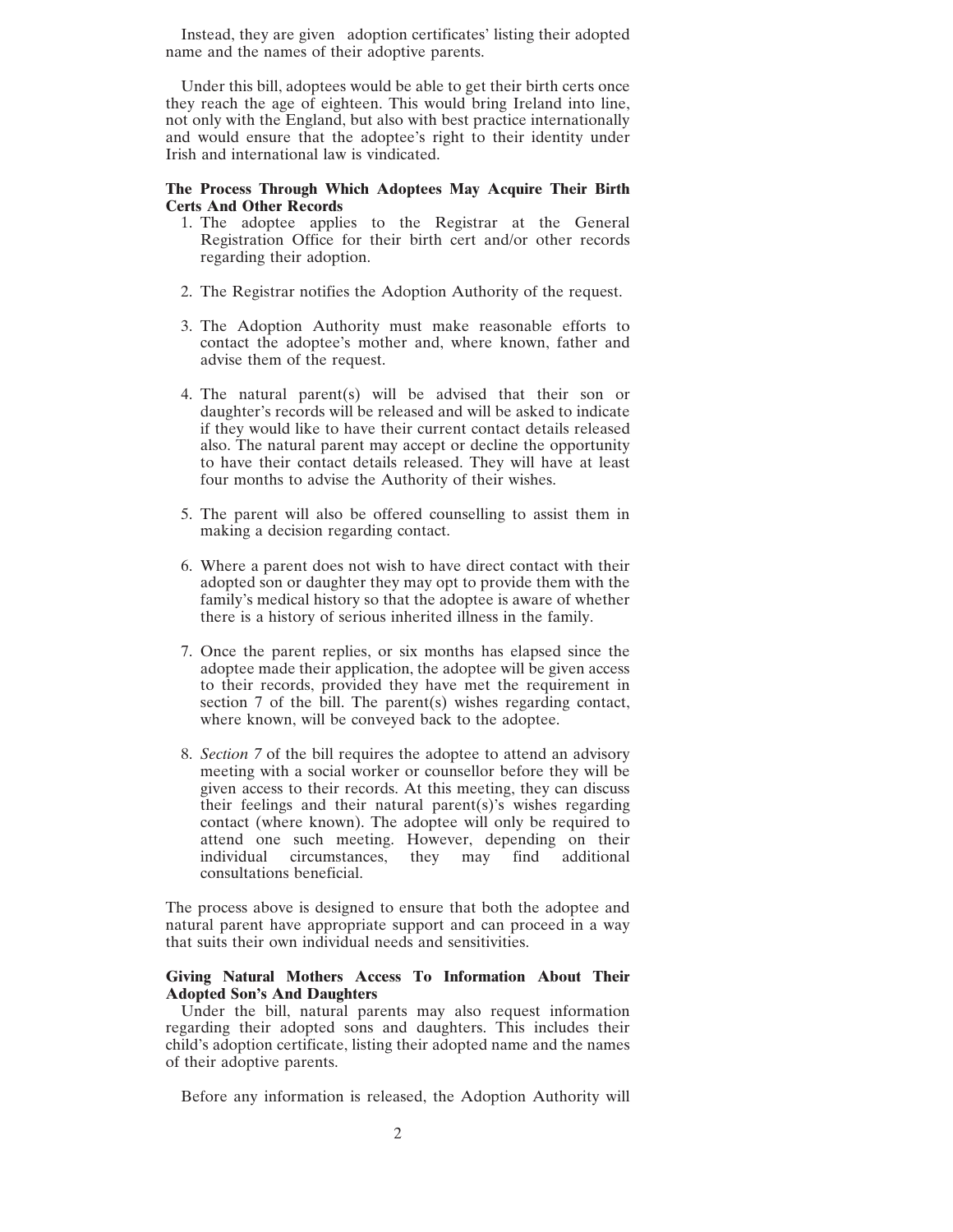Instead, they are given adoption certificates' listing their adopted name and the names of their adoptive parents.

Under this bill, adoptees would be able to get their birth certs once they reach the age of eighteen. This would bring Ireland into line, not only with the England, but also with best practice internationally and would ensure that the adoptee's right to their identity under Irish and international law is vindicated.

# **The Process Through Which Adoptees May Acquire Their Birth Certs And Other Records**

- 1. The adoptee applies to the Registrar at the General Registration Office for their birth cert and/or other records regarding their adoption.
- 2. The Registrar notifies the Adoption Authority of the request.
- 3. The Adoption Authority must make reasonable efforts to contact the adoptee's mother and, where known, father and advise them of the request.
- 4. The natural parent(s) will be advised that their son or daughter's records will be released and will be asked to indicate if they would like to have their current contact details released also. The natural parent may accept or decline the opportunity to have their contact details released. They will have at least four months to advise the Authority of their wishes.
- 5. The parent will also be offered counselling to assist them in making a decision regarding contact.
- 6. Where a parent does not wish to have direct contact with their adopted son or daughter they may opt to provide them with the family's medical history so that the adoptee is aware of whether there is a history of serious inherited illness in the family.
- 7. Once the parent replies, or six months has elapsed since the adoptee made their application, the adoptee will be given access to their records, provided they have met the requirement in section 7 of the bill. The parent(s) wishes regarding contact, where known, will be conveyed back to the adoptee.
- 8. *Section 7* of the bill requires the adoptee to attend an advisory meeting with a social worker or counsellor before they will be given access to their records. At this meeting, they can discuss their feelings and their natural parent(s)'s wishes regarding contact (where known). The adoptee will only be required to attend one such meeting. However, depending on their individual circumstances, they may find additional consultations beneficial.

The process above is designed to ensure that both the adoptee and natural parent have appropriate support and can proceed in a way that suits their own individual needs and sensitivities.

#### **Giving Natural Mothers Access To Information About Their Adopted Son's And Daughters**

Under the bill, natural parents may also request information regarding their adopted sons and daughters. This includes their child's adoption certificate, listing their adopted name and the names of their adoptive parents.

Before any information is released, the Adoption Authority will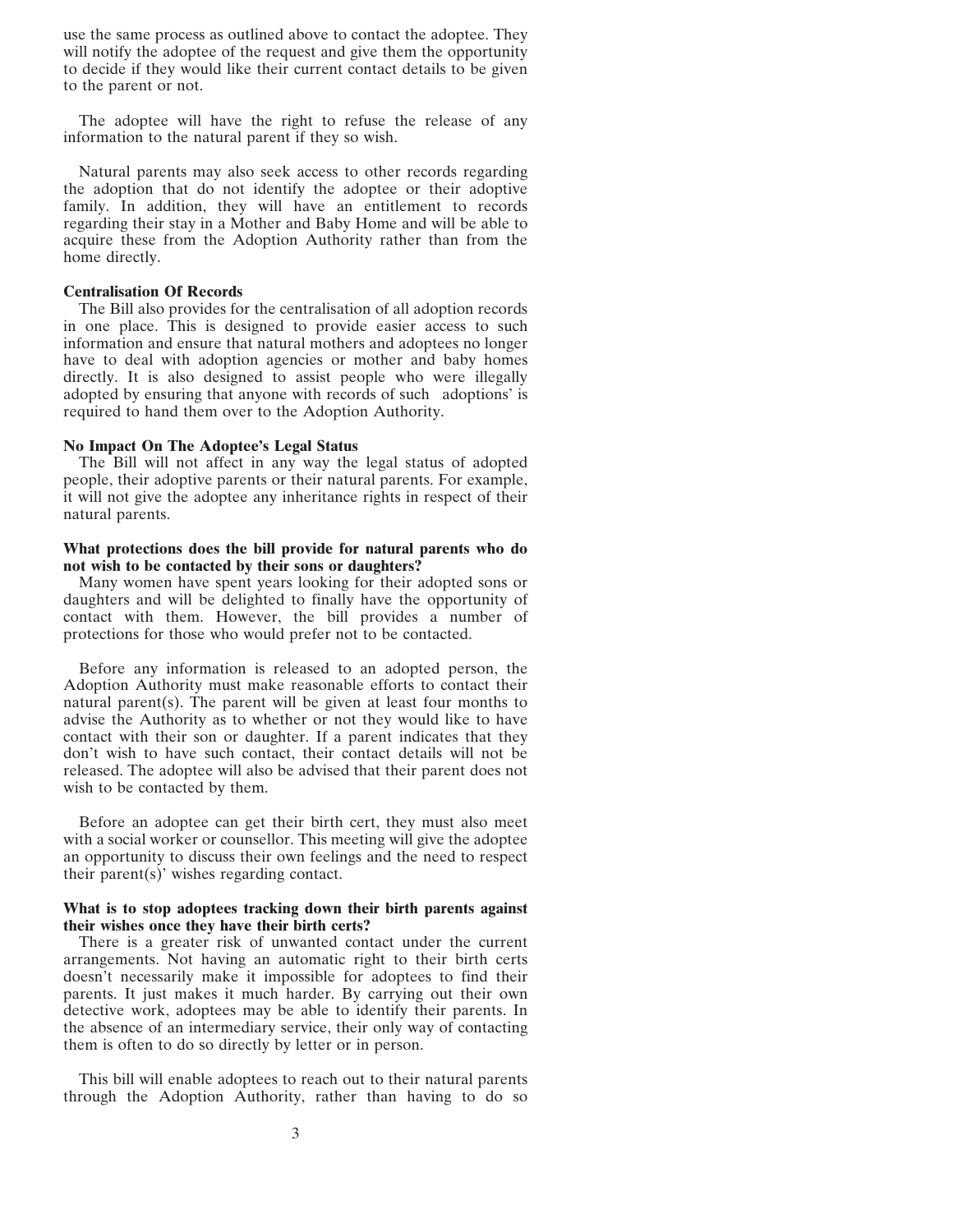use the same process as outlined above to contact the adoptee. They will notify the adoptee of the request and give them the opportunity to decide if they would like their current contact details to be given to the parent or not.

The adoptee will have the right to refuse the release of any information to the natural parent if they so wish.

Natural parents may also seek access to other records regarding the adoption that do not identify the adoptee or their adoptive family. In addition, they will have an entitlement to records regarding their stay in a Mother and Baby Home and will be able to acquire these from the Adoption Authority rather than from the home directly.

#### **Centralisation Of Records**

The Bill also provides for the centralisation of all adoption records in one place. This is designed to provide easier access to such information and ensure that natural mothers and adoptees no longer have to deal with adoption agencies or mother and baby homes directly. It is also designed to assist people who were illegally adopted by ensuring that anyone with records of such adoptions' is required to hand them over to the Adoption Authority.

#### **No Impact On The Adoptee's Legal Status**

The Bill will not affect in any way the legal status of adopted people, their adoptive parents or their natural parents. For example, it will not give the adoptee any inheritance rights in respect of their natural parents.

### **What protections does the bill provide for natural parents who do not wish to be contacted by their sons or daughters?**

Many women have spent years looking for their adopted sons or daughters and will be delighted to finally have the opportunity of contact with them. However, the bill provides a number of protections for those who would prefer not to be contacted.

Before any information is released to an adopted person, the Adoption Authority must make reasonable efforts to contact their natural parent(s). The parent will be given at least four months to advise the Authority as to whether or not they would like to have contact with their son or daughter. If a parent indicates that they don't wish to have such contact, their contact details will not be released. The adoptee will also be advised that their parent does not wish to be contacted by them.

Before an adoptee can get their birth cert, they must also meet with a social worker or counsellor. This meeting will give the adoptee an opportunity to discuss their own feelings and the need to respect their parent(s)' wishes regarding contact.

# **What is to stop adoptees tracking down their birth parents against their wishes once they have their birth certs?**

There is a greater risk of unwanted contact under the current arrangements. Not having an automatic right to their birth certs doesn't necessarily make it impossible for adoptees to find their parents. It just makes it much harder. By carrying out their own detective work, adoptees may be able to identify their parents. In the absence of an intermediary service, their only way of contacting them is often to do so directly by letter or in person.

This bill will enable adoptees to reach out to their natural parents through the Adoption Authority, rather than having to do so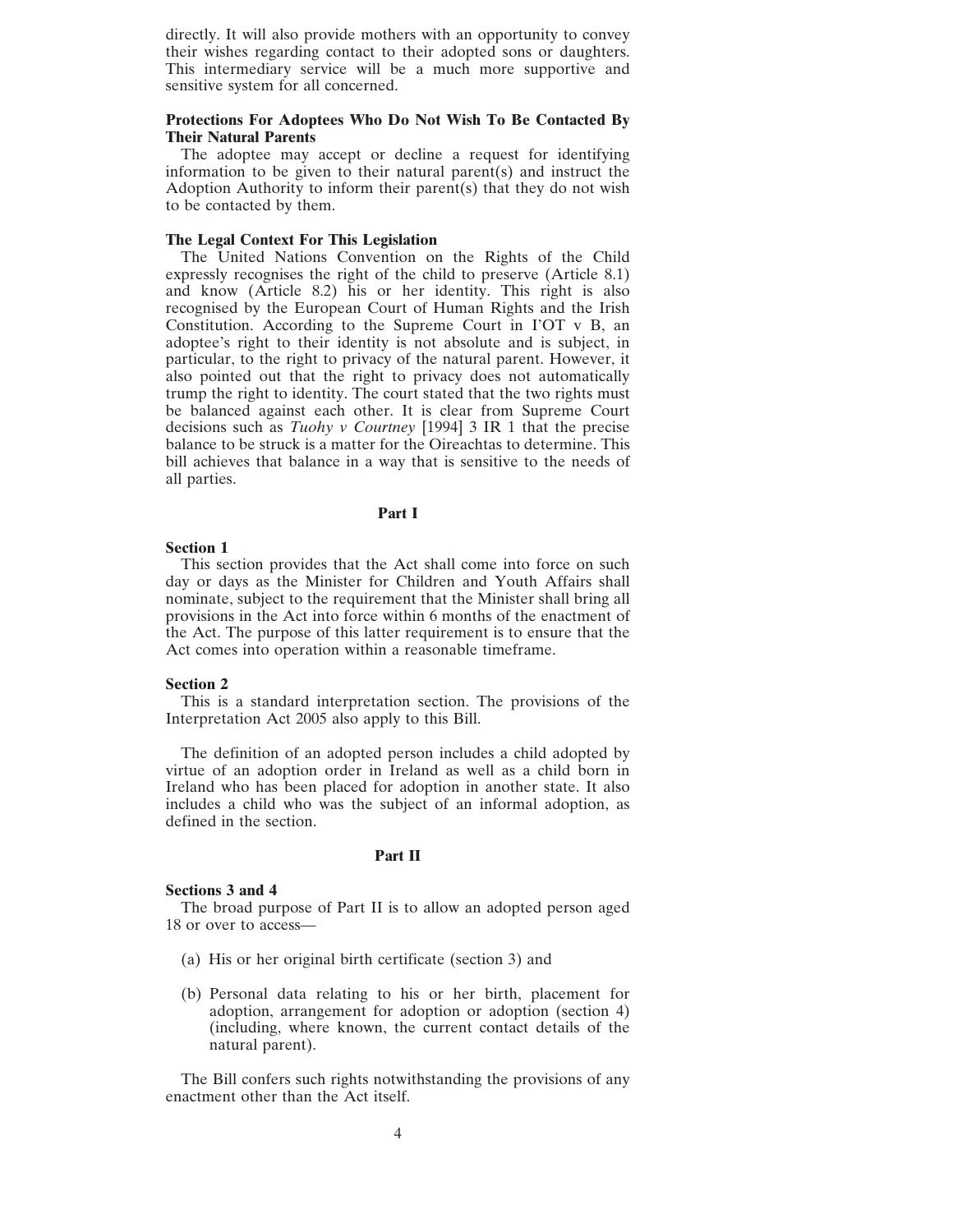directly. It will also provide mothers with an opportunity to convey their wishes regarding contact to their adopted sons or daughters. This intermediary service will be a much more supportive and sensitive system for all concerned.

# **Protections For Adoptees Who Do Not Wish To Be Contacted By Their Natural Parents**

The adoptee may accept or decline a request for identifying information to be given to their natural parent(s) and instruct the Adoption Authority to inform their parent(s) that they do not wish to be contacted by them.

# **The Legal Context For This Legislation**

The United Nations Convention on the Rights of the Child expressly recognises the right of the child to preserve (Article 8.1) and know (Article 8.2) his or her identity. This right is also recognised by the European Court of Human Rights and the Irish Constitution. According to the Supreme Court in I'OT v B, an adoptee's right to their identity is not absolute and is subject, in particular, to the right to privacy of the natural parent. However, it also pointed out that the right to privacy does not automatically trump the right to identity. The court stated that the two rights must be balanced against each other. It is clear from Supreme Court decisions such as *Tuohy v Courtney* [1994] 3 IR 1 that the precise balance to be struck is a matter for the Oireachtas to determine. This bill achieves that balance in a way that is sensitive to the needs of all parties.

# **Part I**

# **Section 1**

This section provides that the Act shall come into force on such day or days as the Minister for Children and Youth Affairs shall nominate, subject to the requirement that the Minister shall bring all provisions in the Act into force within 6 months of the enactment of the Act. The purpose of this latter requirement is to ensure that the Act comes into operation within a reasonable timeframe.

#### **Section 2**

This is a standard interpretation section. The provisions of the Interpretation Act 2005 also apply to this Bill.

The definition of an adopted person includes a child adopted by virtue of an adoption order in Ireland as well as a child born in Ireland who has been placed for adoption in another state. It also includes a child who was the subject of an informal adoption, as defined in the section.

# **Part II**

#### **Sections 3 and 4**

The broad purpose of Part II is to allow an adopted person aged 18 or over to access—

- (a) His or her original birth certificate (section 3) and
- (b) Personal data relating to his or her birth, placement for adoption, arrangement for adoption or adoption (section 4) (including, where known, the current contact details of the natural parent).

The Bill confers such rights notwithstanding the provisions of any enactment other than the Act itself.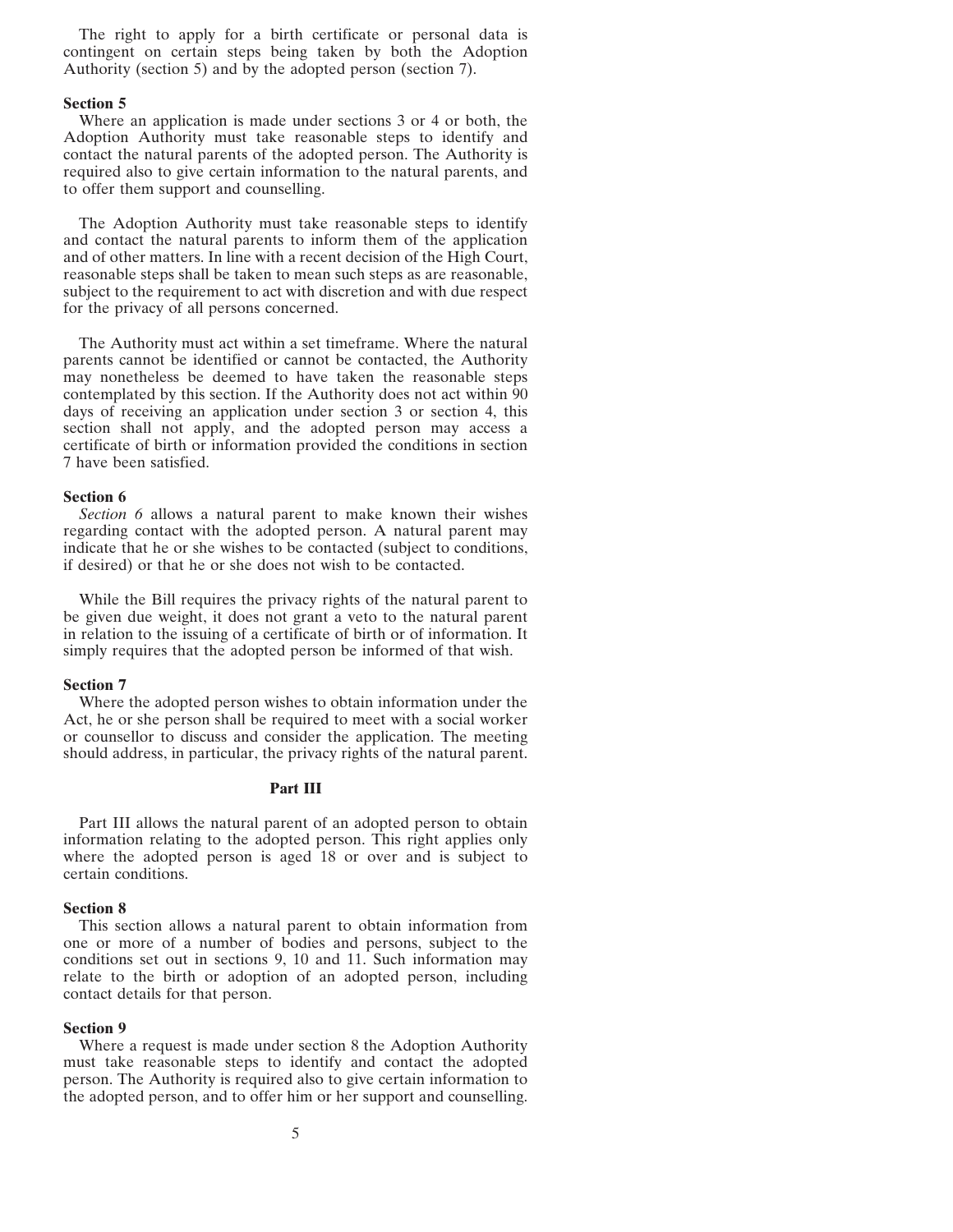The right to apply for a birth certificate or personal data is contingent on certain steps being taken by both the Adoption Authority (section 5) and by the adopted person (section 7).

#### **Section 5**

Where an application is made under sections 3 or 4 or both, the Adoption Authority must take reasonable steps to identify and contact the natural parents of the adopted person. The Authority is required also to give certain information to the natural parents, and to offer them support and counselling.

The Adoption Authority must take reasonable steps to identify and contact the natural parents to inform them of the application and of other matters. In line with a recent decision of the High Court, reasonable steps shall be taken to mean such steps as are reasonable, subject to the requirement to act with discretion and with due respect for the privacy of all persons concerned.

The Authority must act within a set timeframe. Where the natural parents cannot be identified or cannot be contacted, the Authority may nonetheless be deemed to have taken the reasonable steps contemplated by this section. If the Authority does not act within 90 days of receiving an application under section 3 or section 4, this section shall not apply, and the adopted person may access a certificate of birth or information provided the conditions in section 7 have been satisfied.

#### **Section 6**

*Section 6* allows a natural parent to make known their wishes regarding contact with the adopted person. A natural parent may indicate that he or she wishes to be contacted (subject to conditions, if desired) or that he or she does not wish to be contacted.

While the Bill requires the privacy rights of the natural parent to be given due weight, it does not grant a veto to the natural parent in relation to the issuing of a certificate of birth or of information. It simply requires that the adopted person be informed of that wish.

#### **Section 7**

Where the adopted person wishes to obtain information under the Act, he or she person shall be required to meet with a social worker or counsellor to discuss and consider the application. The meeting should address, in particular, the privacy rights of the natural parent.

# **Part III**

Part III allows the natural parent of an adopted person to obtain information relating to the adopted person. This right applies only where the adopted person is aged 18 or over and is subject to certain conditions.

#### **Section 8**

This section allows a natural parent to obtain information from one or more of a number of bodies and persons, subject to the conditions set out in sections 9, 10 and 11. Such information may relate to the birth or adoption of an adopted person, including contact details for that person.

#### **Section 9**

Where a request is made under section 8 the Adoption Authority must take reasonable steps to identify and contact the adopted person. The Authority is required also to give certain information to the adopted person, and to offer him or her support and counselling.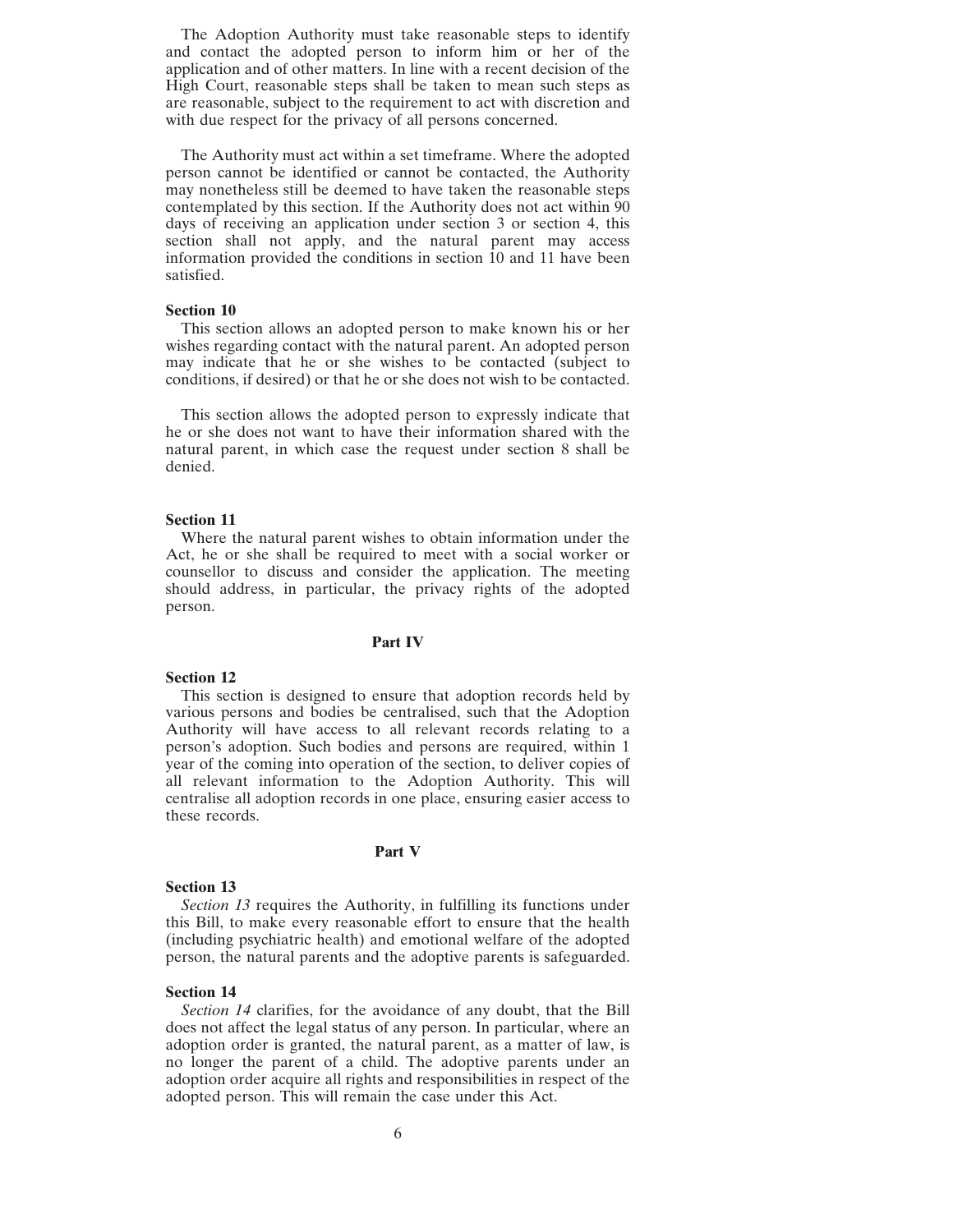The Adoption Authority must take reasonable steps to identify and contact the adopted person to inform him or her of the application and of other matters. In line with a recent decision of the High Court, reasonable steps shall be taken to mean such steps as are reasonable, subject to the requirement to act with discretion and with due respect for the privacy of all persons concerned.

The Authority must act within a set timeframe. Where the adopted person cannot be identified or cannot be contacted, the Authority may nonetheless still be deemed to have taken the reasonable steps contemplated by this section. If the Authority does not act within 90 days of receiving an application under section 3 or section 4, this section shall not apply, and the natural parent may access information provided the conditions in section 10 and 11 have been satisfied.

# **Section 10**

This section allows an adopted person to make known his or her wishes regarding contact with the natural parent. An adopted person may indicate that he or she wishes to be contacted (subject to conditions, if desired) or that he or she does not wish to be contacted.

This section allows the adopted person to expressly indicate that he or she does not want to have their information shared with the natural parent, in which case the request under section 8 shall be denied.

#### **Section 11**

Where the natural parent wishes to obtain information under the Act, he or she shall be required to meet with a social worker or counsellor to discuss and consider the application. The meeting should address, in particular, the privacy rights of the adopted person.

# **Part IV**

# **Section 12**

This section is designed to ensure that adoption records held by various persons and bodies be centralised, such that the Adoption Authority will have access to all relevant records relating to a person's adoption. Such bodies and persons are required, within 1 year of the coming into operation of the section, to deliver copies of all relevant information to the Adoption Authority. This will centralise all adoption records in one place, ensuring easier access to these records.

#### **Part V**

#### **Section 13**

*Section 13* requires the Authority, in fulfilling its functions under this Bill, to make every reasonable effort to ensure that the health (including psychiatric health) and emotional welfare of the adopted person, the natural parents and the adoptive parents is safeguarded.

#### **Section 14**

*Section 14* clarifies, for the avoidance of any doubt, that the Bill does not affect the legal status of any person. In particular, where an adoption order is granted, the natural parent, as a matter of law, is no longer the parent of a child. The adoptive parents under an adoption order acquire all rights and responsibilities in respect of the adopted person. This will remain the case under this Act.